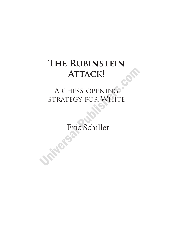## A chess opening strategy for White

Eric Schiller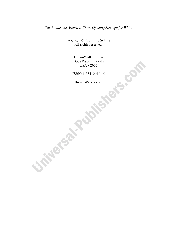*The Rubinstein Attack: A Chess Opening Strategy for White* 

Copyright © 2005 Eric Schiller All rights reserved.

> BrownWalker Press Boca Raton , Florida USA • 2005

ISBN: 1-58112-454-6

BrownWalker.com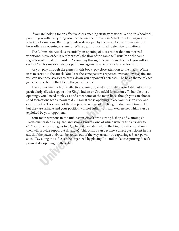If you are looking for an effective chess opening strategy to use as White, this book will provide you with everything you need to use the Rubinstein Attack to set up aggressive attacking formations. Building on ideas developed by the great Akiba Rubinstein, this book offers an opening system for White against most Black defensive formations.

The Rubinstein Attack is essentially an opening of ideas rather than memorized variations. Move order is rarely critical, the flow of the game will usually be the same regardless of initial move order. As you play through the games in this book you will see each of White's major strategies put to use against a variety of defensive formations.

As you play through the games in this book, pay close attention to the means White uses to carry out the attack. You'll see the same patterns repeated over and over again, and you can use these stragies to break down you opponent's defenses. The basic theme of each game is indicated in the title in the game header.

The Rubinstein is a highly effective opening against most defenses to 1.d4, but it is not particularly effective against the King's Indian or Gruenfeld formations. To handle those openings, you'll need to play c4 and enter some of the main lines, though you can choose solid formations with a pawn at d3. Against those openings, place your bishop at e2 and castle quickly. These are not the sharpest variations of the King's Indian and Gruenfeld, but they are reliable and your position will not suffer from any weaknesses which can be exploited by your opponent.

Your main weapons in the Rubinstein Attack are a strong bishop at d3, aiming at Black's vulnerable h7-square, and strong knights, one of which usually finds its way to e5. Your other bishop goes to b2, where it can later help in the kingside attack and until then will provide support at d4 and e5. This bishop can become a direct participant in the attack if the pawn at d4 can be gotten out of the way, usually by capturing a Black pawn at c5. Play along the c-file can be organized by playing Rc1 and c4, later capturing Black's pawn at d5, opening up the c-file.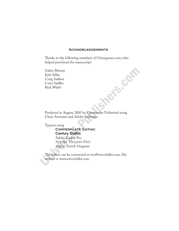#### **Acknowledgements**

Thanks to the following members of Chessgames.com, who helped proofread the manuscript:

Galen Murray Kyle Sillin Craig Sadleer Currt Sadfler Rick Walsh

Produced in August, 2005 by Chessworks Unlimited using Chess Assistant and Adobe InDesign.

Typeset using

#### **Copperplate Gothic Century Gothic**

 Adobe Caslon Pro Adobe Trajan Pro Alpine Zurich Diagram

The author can be contracted at eric@ericschiller.com. His website is www.ericschiller.com.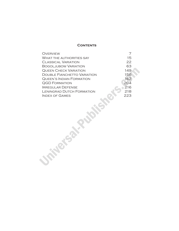#### **CONTENTS**

| <b>OVERVIEW</b>                    |     |
|------------------------------------|-----|
| <b>WHAT THE AUTHORITIES SAY</b>    | 15  |
| <b>CLASSICAL VARIATION</b>         | 22  |
| <b>BOGOLJUBOW VARIATION</b>        | 63  |
| <b>QUEEN CHECK VARIATION</b>       | 149 |
| <b>DOUBLE FIANCHETTO VARIATION</b> | 156 |
| <b>QUEEN'S INDIAN FORMATION</b>    | 162 |
| <b>QGD FORMATION</b>               | 204 |
| <b>IRREGULAR DEFENSE</b>           | 216 |
| <b>LENINGRAD DUTCH FORMATION</b>   | 218 |
| <b>INDEX OF GAMES</b>              | 223 |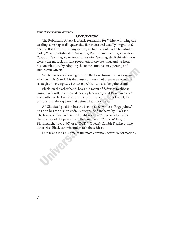#### **Overview**

The Rubinstein Attack is a basic formation for White, with kingside castling, a bishop at d3, queenside fianchetto and usually knights at f3 and d2. It is known by many names, including: Colle with b3, Modern Colle, Yusupov-Rubinstein Variation, Rubinstein Opening, Zukertort-Yusupov Opening, Zukertort-Rubinstein Opening, etc. Rubinstein was clearly the most significant proponent of the opening, and we honor his contributions by adopting the names Rubinstein Opening and Rubinstein Attack.

White has several strategies from the basic formation. A stonewall attack with Ne5 and f4 is the most common, but there are alternative strategies involving c2-c4 or e3-e4, which can also be quite useful.

Black, on the other hand, has a big menu of defenses to choose from. Black will, in almost all cases, place a knight at f6, a pawn at e6, and castle on the kingside. It is the position of the other knight, the bishops, and the c-pawn that define Black's formation.

A "Classical" position has the bishop at e7, while a "Bogoljubow" position has the bishop at d6. A queenside fianchetto by Black is a "Tartakower" line. When the knight goes to d7, instead of c6 after the advance of the pawn to c5, then we have a "Modern" line, if Black fianchettoes at b7, or a "QGD" (Queen's Gambit Declined) line otherwise. Black can mix and match these ideas.

Let's take a look at some of the most common defensive formations.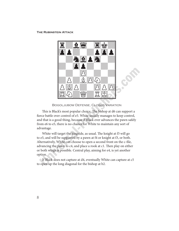

BOGOLJUBOW DEFENSE, CLOSED VARIATION

This is Black's most popular choice. The bishop at d6 can support a fierce battle over control of e5. White usually manages to keep control, and that is a good thing, because if Black ever advances the pawn safely from e6 to e5, there is no chance for White to maintain any sort of advantage.

White will target the kingside, as usual. The knight at f3 will go to e5, and will be supported by a pawn at f4 or knight at f3, or both. Alternatively, White can choose to open a second front on the c-file, advancing the pawn to c4, and place a rook at c1. Then play on either or both wings is possible. Central play, aiming for e4, is yet another option.

If Black does not capture at d4, eventually White can capture at c5 to open up the long diagonal for the bishop at b2.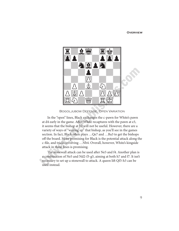#### **Overview**



BOGOLJUBOW DEFENSE, OPEN VARIATION

In the "open" lines, Black exchanges the c-pawn for White's pawn at d4 early in the game. After White recaptures with the pawn at e3, it seems that the bishop at b2 will not be useful. However, there are a variety of ways of "waking up" that bishop, as you'll see in the games section. In fact, Black often plays ... Qe7 and ... Ba3 to get the bishops off the board. More promising for Black is the potential attack along the c-file, and tricks involving …Nb4. Overall, however, White's kingside attack in these lines is promising.

The stonewall attack can be used after Ne5 and f4. Another plan is a combination of Ne5 and Nd2-f3-g5, aiming at both h7 and f7. It isn't necessary to set up a stonewall to attack. A queen lift Qf3-h3 can be used instead.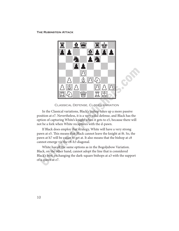

**CLASSICAL DEFENSE, CLOSED VARIATION** 

In the Classical variations, Black's bishop takes up a more passive position at e7. Nevertheless, it is a very solid defense, and Black has the option of capturing White's knight when it gets to e5, because there will not be a fork when White recaptures with the d-pawn.

If Black does employ that strategy, White will have a very strong pawn at e5. This means that Black cannot leave the knight at f6. So, the pawn at h7 will be easier to get at. It also means that the bishop at c8 cannot emerge via the c8-h3 diagonal.

White has all the same options as in the Bogoljubow Variation. Black, on the other hand, cannot adopt the line that is considered Black's best, exchanging the dark-square bishops at a3 with the support of a queen at e7.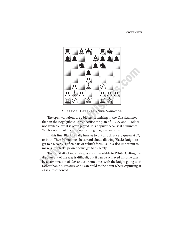#### **Overview**



**CLASSICAL DEFENSE, OPEN VARIATION** 

The open variations are a bit less promising in the Classical lines than in the Bogoljubow lines, because the plan of …Qe7 and …Bd6 is not available, yet it is often played. It is popular because it eliminates White's option of opening up the long diagonal with dxc5.

In this line, Black usually hurries to put a rook at c8, a queen at c7, or both. Then White must be careful about allowing Black's knight to get to b4, so a3 is often part of White's formula. It is also important to make sure Black's pawn doesn't get to e5 safely.

The usual attacking strategies are all available to White. Getting the d-pawn out of the way is difficult, but it can be achieved in some cases by a combination of Ne5 and c4, sometimes with the knight going to c3 rather than d2. Pressure at d5 can build to the point where capturing at c4 is almsot forced.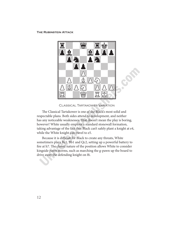

**CLASSICAL TARTAKOWER VARIATION** 

The Classical Tartakower is one of the Black's most solid and respectable plans. Both sides attend to development, and neither has any noticeable weaknesses. That doesn't mean the play is boring, however! White usually employs a standard stonewall formation, taking advantage of the fact that Black can't safely plant a knight at e4, while the White knight can travel to e5.

Because it is difficult for Black to create any threats, White sometimers plays Rc1, Bb1 and Qc2, setting up a powerful battery to fire at h7. The closed nature of the position allows White to consider kingside pawn storms, such as marching the g-pawn up the board to drive away the defending knight on f6.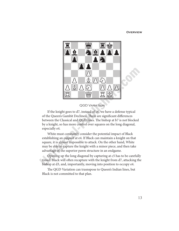#### **Overview**



If the knight goes to d7, instead of c6, we have a defense typical of the Queen's Gambit Declined. There are significant differences between the Classical and QGD lines. The bishop at b7 is not blocked by a knight, so has more control over squares on the long diagonal, especially e4.

White must constantly consider the potential impact of Black establishing an outpost at e4. If Black can maintain a knight on that square, it is almost impossible to attack. On the other hand, White may be able to capture the knight with a minor piece, and then take advantage of the superior pawn structure in an endgame.

Opening up the long diagonal by capturing at c5 has to be carefully timed. Black will often recapture with the knight from d7, attacking the bishop at d3, and, importantly, moving into position to occupy e4.

The QGD Variation can trasnspose to Queen's Indian lines, but Black is not committed to that plan.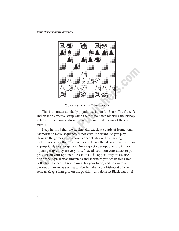

QUEEN'S INDIAN FORMATION

This is an understandably popular variation for Black. The Queen's Indian is an effective setup when there is no pawn blocking the bishop at b7, and the pawn at d6 keeps White from making use of the e5 square.

Keep in mind that the Rubinstein Attack is a battle of formations. Memorizing move sequences is not very important. As you play through the games in this book, concentrate on the attacking techniques rather than specific moves. Learn the ideas and apply them appropriately in your games. Don't expect your opponent to fall for opening traps, they are very rare. Instead, count on your attack to put pressure on your opponent. As soon as the opportunity arises, use one of the typical attacking plans and sacrifices you see in this game collection. Be careful not to overplay your hand, and be aware of various annoyances such as …Nc6-b4 when your bishop at d3 can't retreat. Keep a firm grip on the position, and don't let Black play …e5!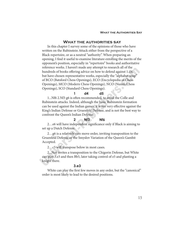#### **What the authorities say**

In this chapter I survey some of the opinions of those who have written on the Rubinstein Attack either from the perspective of a Black repertoire, or as a neutral "authority". When preparing an opening, I find it useful to examine literature extolling the merits of the opponent's position, especially in "repertoire" books and authoritative reference works. I haven't made any attempt to research all of the hundreds of books offering advice on how to defend against 1.d4, but have chosen representative works, especially the "alphabet soup" of BCO (Batsford Chess Openings), ECO (Encyclopedia of Chess Openings), MCO (Modern Chess Openings), NCO (Nunn's Chess Openings), SCO (Standard Chess Openings).

#### **1 d4 d5**

1...Nf6 2.Nf3 g6 is often recommended, to avoid the Colle and Rubinstein attacks. Indeed, although the basic Rubinstein formation can be used against the Indian games, it is not very effective against the King's Indian Defense or Gruenfeld Defense, and is not the best way to confront the Queen's Indian Defense.

#### **2 Nf3 Nf6**

2…e6 will have independent significance only if Black is aiming to set up a Dutch Defense.

2…g6 is a relatively rare move order, inviting transposition to the Gruenfeld Defense or the Smyslov Variation of the Queen's Gambit Accepted.

2…c5 will transpose below in most cases.

2...Nc6 invites a transposition to the Chigorin Defense, but White can play 3.e3 and then Bb5, later taking control of e5 and planting a knight there.

#### **3.e3**

White can play the first few moves in any order, but the "canonical" order is most likely to lead to the desired positions.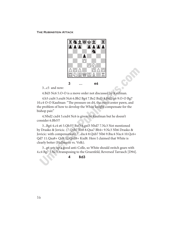

**3 … e6**

3...c5 and now:

4.Bd3 Nc6 5.O-O is a move order not discussed by Kaufman.

4.b3 cxd4 5.exd4 Nc6 6.Bb2 Bg4 7.Be2 Bxf3 8.Bxf3 g6 9.O-O Bg7 10.c4 O-O Kaufman: "The pressure on d4, the extra center pawn, and the problem of how to develop the White knight compensate for the bishop pair."

4.Nbd2 cxd4 5.exd4 Nc6 is given by Kaufman but he doesn't consider 6.Bb5!?

3...Bg4 4.c4 e6 5.Qb3!? Bxf3 6.gxf3 Nbd7 7.Nc3 Not mentioned by Drasko & Jovicic. (7.Qxb7 Rb8 8.Qxa7 Bb4+ 9.Nc3 Nb6 Drasko & Jovicic: with compensation) 7...dxc4 8.Qxb7 Nb6 9.Bxc4 Nxc4 10.Qc6+ Qd7 11.Qxa8+ Qd8 12.Qxd8+ Kxd8. Here I claimed that White is clearly better (Hellmann vs. Volk).

3...g6 sets up a good anti-Colle, so White should switch gears with 4.c4 Bg7 5.Nc3, transposing to the Gruenfeld, Reversed Tarrasch [D94].

**4 Bd3**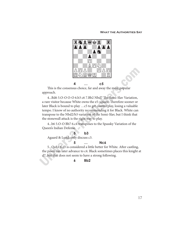#### **What the Authorities Say**



This is the consensus choice, far and away the most popular approach.

4...Bd6 5.O-O O-O 6.b3 c6 7.Bb2 Nbd7 The Semi-Slav Variation, a rare visitor because White owns the e5-square. Therefore sooner or later Black is bound to play …c5 to get counterplay, losing a valuable tempo. I know of no authority recommending it for Black. White can transpose to the Nbd2/b3 variation of the Semi-Slav, but I think that the stonewall attack is the right way to play.

4...b6 5.O-O Bb7 6.c4 transposes to the Spassky Variation of the Queen's Indian Defense.

#### **5 b3**

Agaard & Lund: only discuss c3.

#### **5 … Nc6**

5...Qa5+ 6.c3 is considered a little better for White. After castling, the pawn can later advance to c4. Black sometimes places this knight at d7, but that does not seem to have a strong following.

#### **6 Bb2**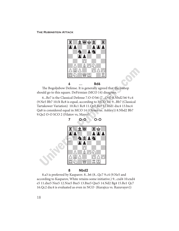

**6 … Bd6**

The Bogoljubow Defense. It is generally agreed that the bishop should go to this square. DeFirmian (MCO 14) disagrees.

6...Be7 is the Classical Defense 7.O-O b6 (7...O-O 8.Nbd2 b6 9.c4 (9.Ne5 Bb7 10.f4 Rc8 is equal, according to MCO 14) 9...Bb7 (Classical Tartakower Variation) 10.Rc1 Rc8 11.Qe2 Rc7 12.Rfd1 dxc4 13.bxc4 Qa8 is considered equal in MCO 14 (Olesen vs. Ashley)) 8.Nbd2 Bb7 9.Qe2 O-O SCO 2 (Filatov vs, Mayer)



**7 O-O O-O**

#### **8 Nbd2**

8.a3 is preferred by Kasparov. 8...b6 (8...Qc7 9.c4 (9.Ne5 and according to Kasparov, White retains some initiative.) 9...cxd4 10.exd4 e5 11.dxe5 Nxe5 12.Nxe5 Bxe5 13.Bxe5 Qxe5 14.Nd2 Bg4 15.Re1 Qc7 16.Qc2 dxc4 is evaluated as even in NCO (Kurajica vs. Razuvayev))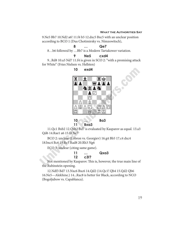#### **What the Authorities Say**

9.Ne5 Bb7 10.Nd2 a6! 11.f4 b5 12.dxc5 Bxc5 with an unclear position according to BCO 1 (Dus Chotimirsky vs. Nimzowitsch),

### **8 … Qe7**

8…b6 followed by …Bb7 is a Modern Tartakower variation.

**10 exd4**

#### **9 Ne5 cxd4**

9...Rd8 10.a3 Nd7 11.f4 is given in SCO 2: "with a promising attack for White" (Fries Nielsen vs. Hellsten)



**10 … Ba3 11 Bxa3**

11.Qc1 Bxb2 12.Qxb2 Bd7 is evaluated by Kasparov as equal. 13.a3 Qd6 14.Rae1 a6 15.f4 Ne7

BCO 2: unclear (Lobron vs. Georgiev) 16.g4 Bb5 17.c4 dxc4 18.bxc4 Bc6 19.Re3 Rad8 20.Rh3 Ng6

ECO 3: unclear (citing same game).

**11 … Qxa3 12 c3!?**

Not mentioned by Kasparov. This is, however, the true main line of the Rubinstein opening.

12.Ndf3 Bd7 13.Nxc6 Bxc6 14.Qd2 (14.Qc1! Qb4 15.Qd2 Qb6 16.Ne5—Alekhine.) 14...Rac8 is better for Black, according to NCO (Bogoljubow vs. Capablanca).

19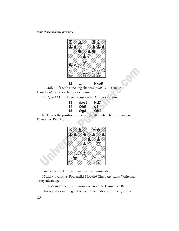

**12 … Nxe5**

12...Bd7 13.f4 with attacking chances in MCO 14 (Hoi vs. Danielsen). See also Danner vs. Beim.

12...Qd6 13.f4 Bd7 See discussion in Danner vs. Beim.

| 13 | dxe5 | Nd7             |
|----|------|-----------------|
| 14 | Qh5  | g6              |
| 15 | Qg5  | Qb <sub>2</sub> |

NCO says the position is unclear (unattributed, but the game is Fuentes vs. Rey Ardid)



Two other Black moves have been recommended:

15...h6 (Jovanic vs. Podlesnik) 16.Qxh6 Chess Assistant: White has a tiny advantage.

15...Qa5 and other queen moves see notes to Danner vs. Beim.

This is just a sampling of the recommendations for Black, but as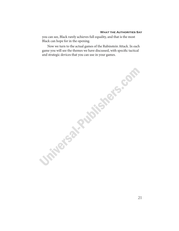#### **What the Authorities Say**

you can see, Black rarely achieves full equality, and that is the most Black can hope for in the opening.

Now we turn to the actual games of the Rubinstein Attack. In each game you will see the themes we have discussed, with specific tactical and strategic devices that you can use in your games.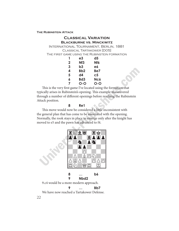#### **Classical Variation Blackburne vs. Minckwitz**

International Tournament, Berlin, 1881 Classical Tartakower [D05] The first game using the Rubinstein formation

| 1           | e3              | d5  |
|-------------|-----------------|-----|
| $\mathbf 2$ | Nf <sub>3</sub> | Nf6 |
| 3           | b3              | e6  |
| 4           | Bb <sub>2</sub> | Be7 |
| 5           | d4              | c5  |
| 6           | Bd3             | Nc6 |
| 7           | Q-Q             | O-O |

This is the very first game I've located using the formation that typically arises in Rubinstein's opening. This example maneuvered through a number of different openings before reaching the Rubinstein Attack position.

**8 Re1**

This move would now be considered a little inconsistent with the general plan that has come to be associated with the opening. Normally, the rook stays in place to emerge only after the knight has moved to e5 and the pawn has advanced to f4.



**9 … Bb7**

We have now reached a Tartakower Defense.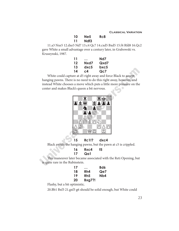| 10 | Ne5  | Rc8 |
|----|------|-----|
| 11 | Ndf3 |     |

11.a3 Nxe5 12.dxe5 Nd7 13.c4 Qc7 14.cxd5 Bxd5 15.f4 Rfd8 16.Qc2 gave White a small advantage over a century later, in Grabowski vs. Kruszynski, 1987.

| 11 | .    | Nd7  |
|----|------|------|
| 12 | Nxd7 | Qxd7 |
| 13 | dxc5 | bxc5 |
| 14 | c4   | Qc7  |

White could capture at d5 right away and force Black to accept hanging pawns. There is no need to do this right away, however, and instead White chooses a move which puts a little more pressure on the center and makes Black's queen a bit nervous.



#### **15 Rc1!? dxc4**

Black avoids the hanging pawns, but the pawn at c5 is crippled.

**16 Rxc4 f5 17 Qa1**

This maneuver later became associated with the Reti Opening, but is quite rare in the Rubinstein.

| 17 | .             | Bd6 |
|----|---------------|-----|
| 18 | Rh4           | Qe7 |
| 19 | Rh5           | Nb4 |
| 20 | <b>Bxg7?!</b> |     |

Flashy, but a bit optimistic.

20.Bb1 Bxf3 21.gxf3 g6 should be solid enough, but White could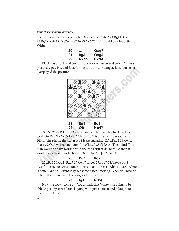decide to dangle the rook. 22.Kh1!? since 22...gxh5? 23.Rg1+ Kf7 24.Rg7+ Ke8 25.Rxe7+ Kxe7 26.a3 Nc6 27.Bc2 should be a bit better for White.

| 20 | $\ddotsc$ | Qxg7 |
|----|-----------|------|
| 21 | Rg5       | Qxg5 |
| 22 | Nxg5      | Nxd3 |

Black has a rook and two bishops for the queen and pawn. White's pieces are passive, and Black's king is not in any danger. Blackburne has overplayed the position.



**24 Qb1 Nb4?**

24...Nb2! 25.Rd2 Rfd8! as the correct plan. White's back rank is weak. 26.Rxb2? (26.Qc1 c4! 27.bxc4 Rd5! is an amazing resource for Black. The pin on the pawn at c4 is excruciating. (27...Rxd2 28.Qxd2 Nxc4 29.Qd7 works out better for White.) 28.f4 Rxc4! The point! This plan wouldn't have worked with the rook still at d8, because then it would be captured with check.) 26...Bxb2 27.Qxb2? Rd1#

#### **25 Rd7 Rc7!**

25...Bc6 26.Qd1! Bxd7 27.Qxd7 forces 27...Bg7 28.Qxe6+ Kh8 29.Nf7+ Rxf7 30.Qxc8+ Rf8 31.Qxc5 Nxa2 32.Qxa7 Nb4 33.Qa5. White is better, and will eventually get some pawns moving. Black will have to defend the f-pawn and the king with the pieces.

#### **26 Qd1 Nd5!**

Now the rooks come off. You'd think that White isn't going to be able to get any sort of attack going with just a queen and a knight to play with. Not so!